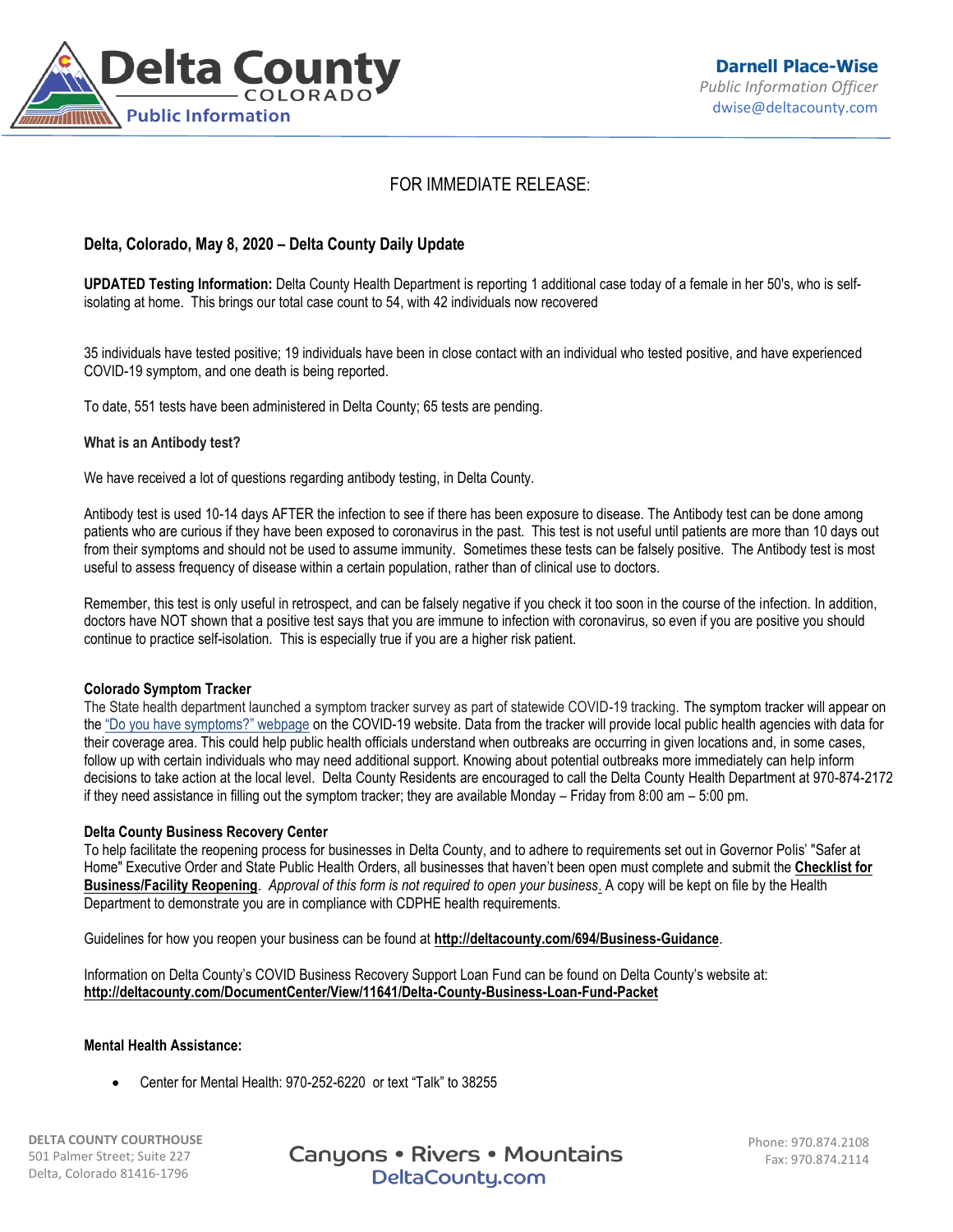

# FOR IMMEDIATE RELEASE:

# **Delta, Colorado, May 8, 2020 – Delta County Daily Update**

**UPDATED Testing Information:** Delta County Health Department is reporting 1 additional case today of a female in her 50's, who is selfisolating at home. This brings our total case count to 54, with 42 individuals now recovered

35 individuals have tested positive; 19 individuals have been in close contact with an individual who tested positive, and have experienced COVID-19 symptom, and one death is being reported.

To date, 551 tests have been administered in Delta County; 65 tests are pending.

#### **What is an Antibody test?**

We have received a lot of questions regarding antibody testing, in Delta County.

Antibody test is used 10-14 days AFTER the infection to see if there has been exposure to disease. The Antibody test can be done among patients who are curious if they have been exposed to coronavirus in the past. This test is not useful until patients are more than 10 days out from their symptoms and should not be used to assume immunity. Sometimes these tests can be falsely positive. The Antibody test is most useful to assess frequency of disease within a certain population, rather than of clinical use to doctors.

Remember, this test is only useful in retrospect, and can be falsely negative if you check it too soon in the course of the infection. In addition, doctors have NOT shown that a positive test says that you are immune to infection with coronavirus, so even if you are positive you should continue to practice self-isolation. This is especially true if you are a higher risk patient.

#### **Colorado Symptom Tracker**

The State health department launched a symptom tracker survey as part of statewide COVID-19 tracking. The symptom tracker will appear on the ["Do you have symptoms?" webpage](https://urldefense.proofpoint.com/v2/url?u=https-3A__covid19.colorado.gov_covid19-2Dsymptoms&d=DwMFaQ&c=sdnEM9SRGFuMt5z5w3AhsPNahmNicq64TgF1JwNR0cs&r=PnKX2o6V5rT28C01uT2jQaey7O9MlRgTjftfZ9p6mrI&m=VeZtDCOPLO9OSJM7nuzpB2rG_iy7tj1Io9J2P1Kv0QU&s=p9aYyGvZSKEJjKYyFnNCBKKjXxOW1Wzspe5dvhBVwWA&e=) on the COVID-19 website. Data from the tracker will provide local public health agencies with data for their coverage area. This could help public health officials understand when outbreaks are occurring in given locations and, in some cases, follow up with certain individuals who may need additional support. Knowing about potential outbreaks more immediately can help inform decisions to take action at the local level. Delta County Residents are encouraged to call the Delta County Health Department at 970-874-2172 if they need assistance in filling out the symptom tracker; they are available Monday – Friday from 8:00 am – 5:00 pm.

#### **Delta County Business Recovery Center**

To help facilitate the reopening process for businesses in Delta County, and to adhere to requirements set out in Governor Polis' "Safer at Home" Executive Order and State Public Health Orders, all businesses that haven't been open must complete and submit the **[Checklist for](https://visitdeltacounty.us4.list-manage.com/track/click?u=005cc3109dd92ab1f9c369fea&id=3c4b7be17d&e=b79ba09168)  [Business/Facility Reopening](https://visitdeltacounty.us4.list-manage.com/track/click?u=005cc3109dd92ab1f9c369fea&id=3c4b7be17d&e=b79ba09168)**. *Approval of this form is not required to open your business*. A copy will be kept on file by the Health Department to demonstrate you are in compliance with CDPHE health requirements.

Guidelines for how you reopen your business can be found at **[http://deltacounty.com/694/Business-Guidance](https://visitdeltacounty.us4.list-manage.com/track/click?u=005cc3109dd92ab1f9c369fea&id=83dccfaf5e&e=b79ba09168)**.

Information on Delta County's COVID Business Recovery Support Loan Fund can be found on Delta County's website at: **<http://deltacounty.com/DocumentCenter/View/11641/Delta-County-Business-Loan-Fund-Packet>**

## **Mental Health Assistance:**

Center for Mental Health: 970-252-6220 or text "Talk" to 38255

**DELTA COUNTY COURTHOUSE** 501 Palmer Street; Suite 227 Delta, Colorado 81416-1796

Canyons • Rivers • Mountains DeltaCounty.com

Phone: 970.874.2108 Fax: 970.874.2114